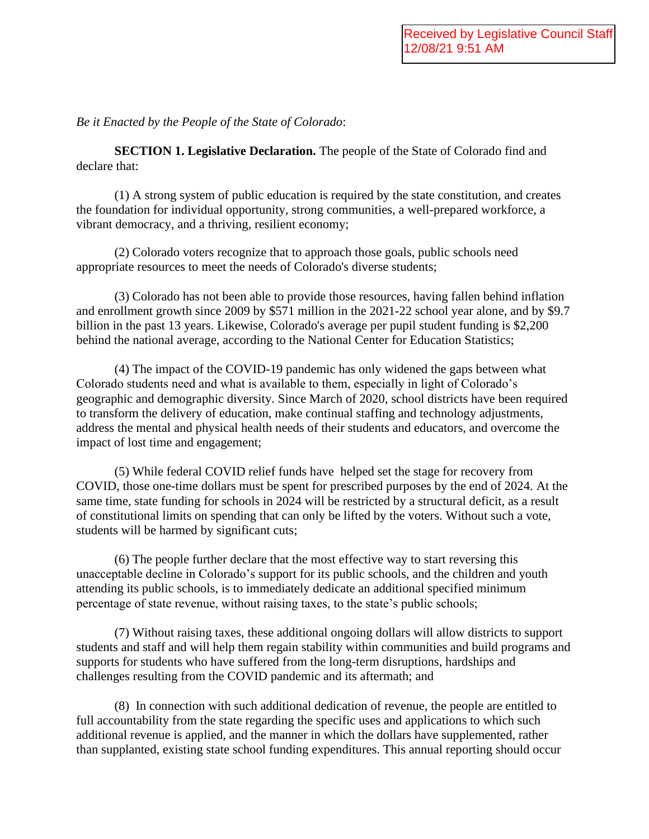*Be it Enacted by the People of the State of Colorado*:

**SECTION 1. Legislative Declaration.** The people of the State of Colorado find and declare that:

(1) A strong system of public education is required by the state constitution, and creates the foundation for individual opportunity, strong communities, a well-prepared workforce, a vibrant democracy, and a thriving, resilient economy;

(2) Colorado voters recognize that to approach those goals, public schools need appropriate resources to meet the needs of Colorado's diverse students;

(3) Colorado has not been able to provide those resources, having fallen behind inflation and enrollment growth since 2009 by \$571 million in the 2021-22 school year alone, and by \$9.7 billion in the past 13 years. Likewise, Colorado's average per pupil student funding is \$2,200 behind the national average, according to the National Center for Education Statistics;

(4) The impact of the COVID-19 pandemic has only widened the gaps between what Colorado students need and what is available to them, especially in light of Colorado's geographic and demographic diversity. Since March of 2020, school districts have been required to transform the delivery of education, make continual staffing and technology adjustments, address the mental and physical health needs of their students and educators, and overcome the impact of lost time and engagement;

(5) While federal COVID relief funds have helped set the stage for recovery from COVID, those one-time dollars must be spent for prescribed purposes by the end of 2024. At the same time, state funding for schools in 2024 will be restricted by a structural deficit, as a result of constitutional limits on spending that can only be lifted by the voters. Without such a vote, students will be harmed by significant cuts;

(6) The people further declare that the most effective way to start reversing this unacceptable decline in Colorado's support for its public schools, and the children and youth attending its public schools, is to immediately dedicate an additional specified minimum percentage of state revenue, without raising taxes, to the state's public schools;

(7) Without raising taxes, these additional ongoing dollars will allow districts to support students and staff and will help them regain stability within communities and build programs and supports for students who have suffered from the long-term disruptions, hardships and challenges resulting from the COVID pandemic and its aftermath; and

(8) In connection with such additional dedication of revenue, the people are entitled to full accountability from the state regarding the specific uses and applications to which such additional revenue is applied, and the manner in which the dollars have supplemented, rather than supplanted, existing state school funding expenditures. This annual reporting should occur